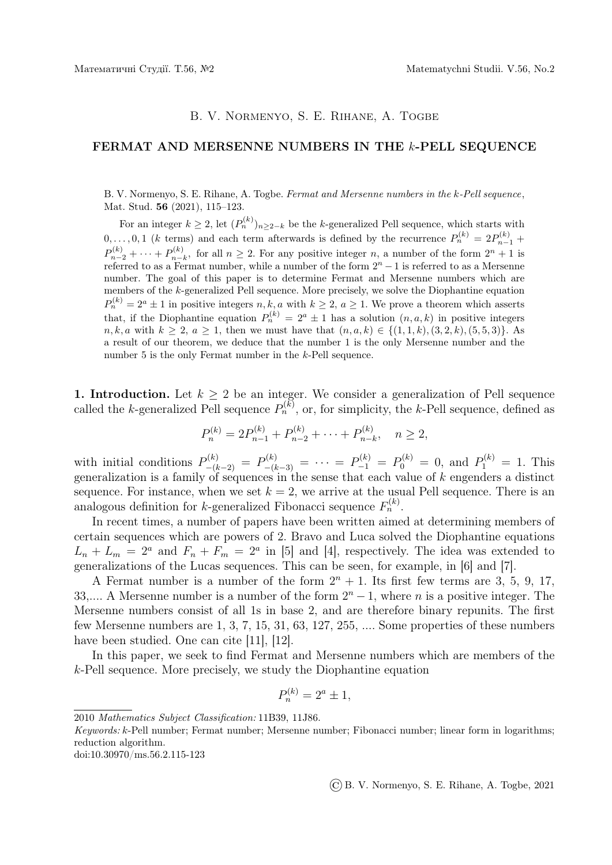## B. V. NORMENYO, S. E. RIHANE, A. TOGBE

## FERMAT AND MERSENNE NUMBERS IN THE k-PELL SEQUENCE

B. V. Normenyo, S. E. Rihane, A. Togbe. Fermat and Mersenne numbers in the k-Pell sequence, Mat. Stud. 56 (2021), 115–123.

For an integer  $k \geq 2$ , let  $(P_n^{(k)})_{n \geq 2-k}$  be the k-generalized Pell sequence, which starts with  $0, \ldots, 0, 1$  (k terms) and each term afterwards is defined by the recurrence  $P_n^{(k)} = 2P_{n-1}^{(k)} +$  $P_{n-2}^{(k)} + \cdots + P_{n-1}^{(k)}$  $n-k$ , for all  $n \geq 2$ . For any positive integer n, a number of the form  $2^{n} + 1$  is referred to as a Fermat number, while a number of the form  $2<sup>n</sup> - 1$  is referred to as a Mersenne number. The goal of this paper is to determine Fermat and Mersenne numbers which are members of the k-generalized Pell sequence. More precisely, we solve the Diophantine equation  $P_n^{(k)} = 2^a \pm 1$  in positive integers  $n, k, a$  with  $k \geq 2, a \geq 1$ . We prove a theorem which asserts that, if the Diophantine equation  $P_n^{(k)} = 2^a \pm 1$  has a solution  $(n, a, k)$  in positive integers  $n, k, a$  with  $k \geq 2, a \geq 1$ , then we must have that  $(n, a, k) \in \{(1, 1, k), (3, 2, k), (5, 5, 3)\}$ . a result of our theorem, we deduce that the number 1 is the only Mersenne number and the number 5 is the only Fermat number in the k-Pell sequence.

1. Introduction. Let  $k \geq 2$  be an integer. We consider a generalization of Pell sequence called the k-generalized Pell sequence  $P_n^{(k)}$ , or, for simplicity, the k-Pell sequence, defined as

$$
P_n^{(k)} = 2P_{n-1}^{(k)} + P_{n-2}^{(k)} + \dots + P_{n-k}^{(k)}, \quad n \ge 2,
$$

with initial conditions  $P_{-(k-2)}^{(k)} = P_{-(k-3)}^{(k)} = \cdots = P_{-1}^{(k)} = P_0^{(k)} = 0$ , and  $P_1^{(k)} = 1$ . This generalization is a family of sequences in the sense that each value of  $k$  engenders a distinct sequence. For instance, when we set  $k = 2$ , we arrive at the usual Pell sequence. There is an analogous definition for k-generalized Fibonacci sequence  $F_n^{(k)}$ .

In recent times, a number of papers have been written aimed at determining members of certain sequences which are powers of 2. Bravo and Luca solved the Diophantine equations  $L_n + L_m = 2^a$  and  $F_n + F_m = 2^a$  in [5] and [4], respectively. The idea was extended to generalizations of the Lucas sequences. This can be seen, for example, in [6] and [7].

A Fermat number is a number of the form  $2^n + 1$ . Its first few terms are 3, 5, 9, 17, 33,.... A Mersenne number is a number of the form  $2<sup>n</sup> - 1$ , where *n* is a positive integer. The Mersenne numbers consist of all 1s in base 2, and are therefore binary repunits. The first few Mersenne numbers are 1, 3, 7, 15, 31, 63, 127, 255, .... Some properties of these numbers have been studied. One can cite [11], [12].

In this paper, we seek to find Fermat and Mersenne numbers which are members of the k-Pell sequence. More precisely, we study the Diophantine equation

$$
P_n^{(k)} = 2^a \pm 1,
$$

doi:10.30970/ms.56.2.115-123

©B. V. Normenyo, S. E. Rihane, A. Togbe, 2021

<sup>2010</sup> Mathematics Subject Classification: 11B39, 11J86.

Keywords: k-Pell number; Fermat number; Mersenne number; Fibonacci number; linear form in logarithms; reduction algorithm.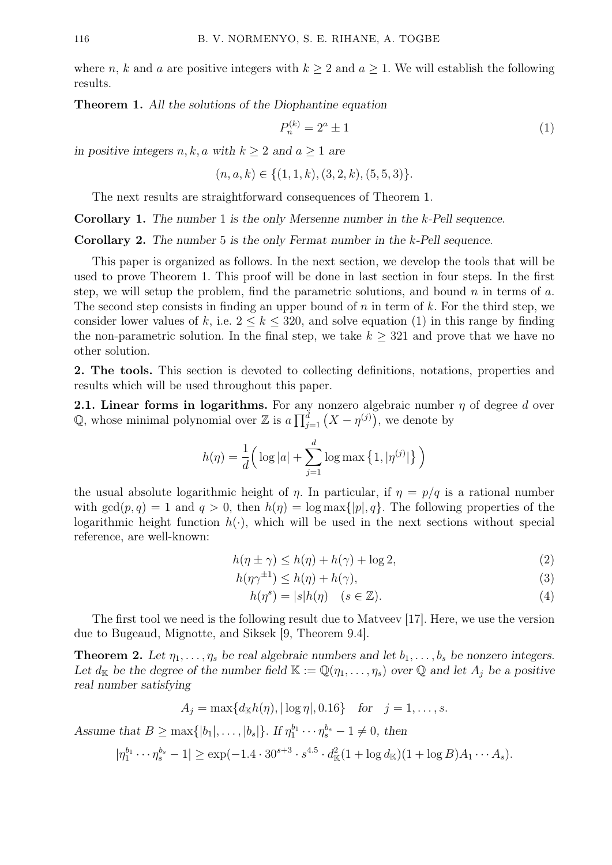where n, k and a are positive integers with  $k \geq 2$  and  $a \geq 1$ . We will establish the following results.

Theorem 1. All the solutions of the Diophantine equation

$$
P_n^{(k)} = 2^a \pm 1 \tag{1}
$$

in positive integers  $n, k, a$  with  $k \ge 2$  and  $a > 1$  are

 $(n, a, k) \in \{(1, 1, k), (3, 2, k), (5, 5, 3)\}.$ 

The next results are straightforward consequences of Theorem 1.

Corollary 1. The number 1 is the only Mersenne number in the k-Pell sequence.

Corollary 2. The number 5 is the only Fermat number in the k-Pell sequence.

This paper is organized as follows. In the next section, we develop the tools that will be used to prove Theorem 1. This proof will be done in last section in four steps. In the first step, we will setup the problem, find the parametric solutions, and bound  $n$  in terms of  $a$ . The second step consists in finding an upper bound of n in term of k. For the third step, we consider lower values of k, i.e.  $2 \le k \le 320$ , and solve equation (1) in this range by finding the non-parametric solution. In the final step, we take  $k \geq 321$  and prove that we have no other solution.

2. The tools. This section is devoted to collecting definitions, notations, properties and results which will be used throughout this paper.

**2.1. Linear forms in logarithms.** For any nonzero algebraic number  $\eta$  of degree d over Q, whose minimal polynomial over Z is  $a \prod_{j=1}^d (X - \eta^{(j)})$ , we denote by

$$
h(\eta) = \frac{1}{d} \Big( \log |a| + \sum_{j=1}^{d} \log \max \big\{ 1, |\eta^{(j)}| \big\} \Big)
$$

the usual absolute logarithmic height of  $\eta$ . In particular, if  $\eta = p/q$  is a rational number with  $gcd(p, q) = 1$  and  $q > 0$ , then  $h(\eta) = log \max\{|p|, q\}$ . The following properties of the logarithmic height function  $h(\cdot)$ , which will be used in the next sections without special reference, are well-known:

$$
h(\eta \pm \gamma) \le h(\eta) + h(\gamma) + \log 2,\tag{2}
$$

$$
h(\eta \gamma^{\pm 1}) \le h(\eta) + h(\gamma),\tag{3}
$$

$$
h(\eta^s) = |s|h(\eta) \quad (s \in \mathbb{Z}).\tag{4}
$$

The first tool we need is the following result due to Matveev [17]. Here, we use the version due to Bugeaud, Mignotte, and Siksek [9, Theorem 9.4].

**Theorem 2.** Let  $\eta_1, \ldots, \eta_s$  be real algebraic numbers and let  $b_1, \ldots, b_s$  be nonzero integers. Let  $d_K$  be the degree of the number field  $\mathbb{K} := \mathbb{Q}(\eta_1, \dots, \eta_s)$  over  $\mathbb Q$  and let  $A_i$  be a positive real number satisfying

$$
A_j = \max\{d_{\mathbb{K}}h(\eta), |\log \eta|, 0.16\}
$$
 for  $j = 1, ..., s$ .

Assume that  $B \ge \max\{|b_1|, \ldots, |b_s|\}$ . If  $\eta_1^{b_1} \cdots \eta_s^{b_s} - 1 \ne 0$ , then

$$
|\eta_1^{b_1}\cdots \eta_s^{b_s} - 1| \ge \exp(-1.4 \cdot 30^{s+3} \cdot s^{4.5} \cdot d_{\mathbb{K}}^2 (1 + \log d_{\mathbb{K}})(1 + \log B)A_1 \cdots A_s).
$$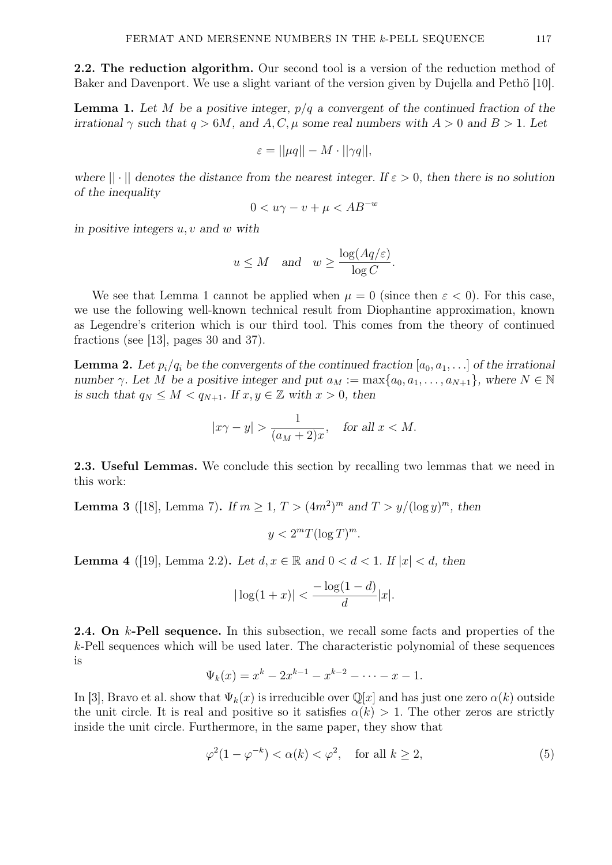2.2. The reduction algorithm. Our second tool is a version of the reduction method of Baker and Davenport. We use a slight variant of the version given by Dujella and Pethö [10].

**Lemma 1.** Let M be a positive integer,  $p/q$  a convergent of the continued fraction of the irrational  $\gamma$  such that  $q > 6M$ , and  $A, C, \mu$  some real numbers with  $A > 0$  and  $B > 1$ . Let

$$
\varepsilon = ||\mu q|| - M \cdot ||\gamma q||,
$$

where  $|| \cdot ||$  denotes the distance from the nearest integer. If  $\varepsilon > 0$ , then there is no solution of the inequality

$$
0 < u\gamma - v + \mu < AB^{-w}
$$

in positive integers  $u, v$  and  $w$  with

$$
u \leq M
$$
 and  $w \geq \frac{\log(Aq/\varepsilon)}{\log C}$ .

We see that Lemma 1 cannot be applied when  $\mu = 0$  (since then  $\varepsilon < 0$ ). For this case, we use the following well-known technical result from Diophantine approximation, known as Legendre's criterion which is our third tool. This comes from the theory of continued fractions (see [13], pages 30 and 37).

**Lemma 2.** Let  $p_i/q_i$  be the convergents of the continued fraction  $[a_0, a_1, \ldots]$  of the irrational number γ. Let M be a positive integer and put  $a_M := \max\{a_0, a_1, \ldots, a_{N+1}\}\$ , where  $N \in \mathbb{N}$ is such that  $q_N \leq M < q_{N+1}$ . If  $x, y \in \mathbb{Z}$  with  $x > 0$ , then

$$
|x\gamma - y| > \frac{1}{(a_M + 2)x}, \quad \text{for all } x < M.
$$

2.3. Useful Lemmas. We conclude this section by recalling two lemmas that we need in this work:

**Lemma 3** ([18], Lemma 7). If  $m \ge 1$ ,  $T > (4m^2)^m$  and  $T > y/(\log y)^m$ , then

 $y < 2<sup>m</sup>T(\log T)<sup>m</sup>$ .

**Lemma** 4 ([19], Lemma 2.2). Let  $d, x \in \mathbb{R}$  and  $0 < d < 1$ . If  $|x| < d$ , then

$$
|\log(1+x)| < \frac{-\log(1-d)}{d}|x|.
$$

**2.4.** On k-Pell sequence. In this subsection, we recall some facts and properties of the k-Pell sequences which will be used later. The characteristic polynomial of these sequences is

$$
\Psi_k(x) = x^k - 2x^{k-1} - x^{k-2} - \dots - x - 1.
$$

In [3], Bravo et al. show that  $\Psi_k(x)$  is irreducible over  $\mathbb{Q}[x]$  and has just one zero  $\alpha(k)$  outside the unit circle. It is real and positive so it satisfies  $\alpha(k) > 1$ . The other zeros are strictly inside the unit circle. Furthermore, in the same paper, they show that

$$
\varphi^2(1-\varphi^{-k}) < \alpha(k) < \varphi^2, \quad \text{for all } k \ge 2,\tag{5}
$$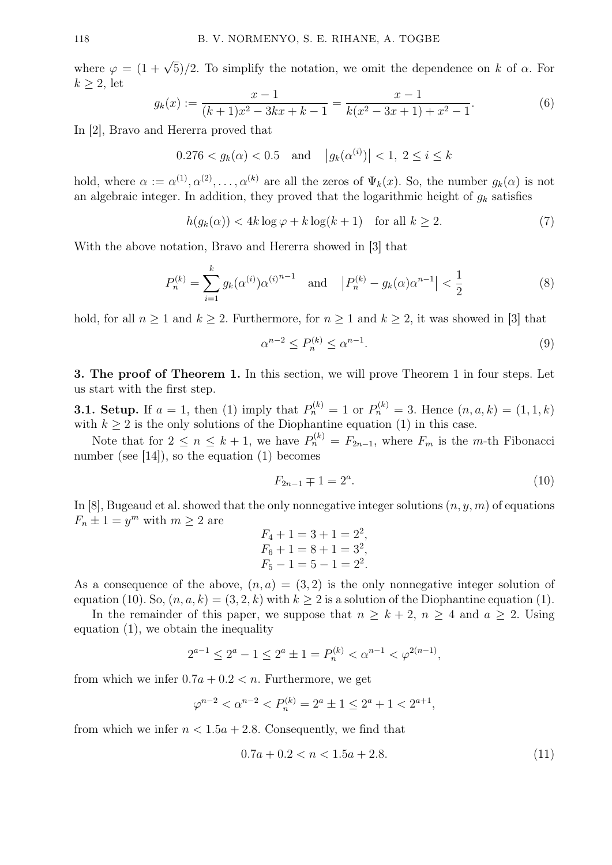where  $\varphi = (1 + \sqrt{5})/2$ . To simplify the notation, we omit the dependence on k of  $\alpha$ . For  $k > 2$ , let

$$
g_k(x) := \frac{x-1}{(k+1)x^2 - 3kx + k - 1} = \frac{x-1}{k(x^2 - 3x + 1) + x^2 - 1}.
$$
 (6)

In [2], Bravo and Hererra proved that

$$
0.276 < g_k(\alpha) < 0.5
$$
 and  $|g_k(\alpha^{(i)})| < 1, 2 \le i \le k$ 

hold, where  $\alpha := \alpha^{(1)}, \alpha^{(2)}, \ldots, \alpha^{(k)}$  are all the zeros of  $\Psi_k(x)$ . So, the number  $g_k(\alpha)$  is not an algebraic integer. In addition, they proved that the logarithmic height of  $g_k$  satisfies

$$
h(g_k(\alpha)) < 4k \log \varphi + k \log (k+1) \quad \text{for all } k \ge 2. \tag{7}
$$

With the above notation, Bravo and Hererra showed in [3] that

$$
P_n^{(k)} = \sum_{i=1}^k g_k(\alpha^{(i)}) \alpha^{(i)^{n-1}} \quad \text{and} \quad |P_n^{(k)} - g_k(\alpha) \alpha^{n-1}| < \frac{1}{2} \tag{8}
$$

hold, for all  $n \geq 1$  and  $k \geq 2$ . Furthermore, for  $n \geq 1$  and  $k \geq 2$ , it was showed in [3] that

$$
\alpha^{n-2} \le P_n^{(k)} \le \alpha^{n-1}.\tag{9}
$$

3. The proof of Theorem 1. In this section, we will prove Theorem 1 in four steps. Let us start with the first step.

**3.1. Setup.** If  $a = 1$ , then (1) imply that  $P_n^{(k)} = 1$  or  $P_n^{(k)} = 3$ . Hence  $(n, a, k) = (1, 1, k)$ with  $k \geq 2$  is the only solutions of the Diophantine equation (1) in this case.

Note that for  $2 \leq n \leq k+1$ , we have  $P_n^{(k)} = F_{2n-1}$ , where  $F_m$  is the *m*-th Fibonacci number (see [14]), so the equation (1) becomes

$$
F_{2n-1} \mp 1 = 2^a. \tag{10}
$$

In [8], Bugeaud et al. showed that the only nonnegative integer solutions  $(n, y, m)$  of equations  $F_n \pm 1 = y^m$  with  $m \ge 2$  are

$$
F_4 + 1 = 3 + 1 = 2^2,
$$
  
\n
$$
F_6 + 1 = 8 + 1 = 3^2,
$$
  
\n
$$
F_5 - 1 = 5 - 1 = 2^2.
$$

As a consequence of the above,  $(n, a) = (3, 2)$  is the only nonnegative integer solution of equation (10). So,  $(n, a, k) = (3, 2, k)$  with  $k \ge 2$  is a solution of the Diophantine equation (1).

In the remainder of this paper, we suppose that  $n \geq k+2$ ,  $n \geq 4$  and  $a \geq 2$ . Using equation (1), we obtain the inequality

$$
2^{a-1} \le 2^a - 1 \le 2^a \pm 1 = P_n^{(k)} < \alpha^{n-1} < \varphi^{2(n-1)},
$$

from which we infer  $0.7a + 0.2 < n$ . Furthermore, we get

$$
\varphi^{n-2} < \alpha^{n-2} < P_n^{(k)} = 2^a \pm 1 \le 2^a + 1 < 2^{a+1},
$$

from which we infer  $n < 1.5a + 2.8$ . Consequently, we find that

$$
0.7a + 0.2 < n < 1.5a + 2.8. \tag{11}
$$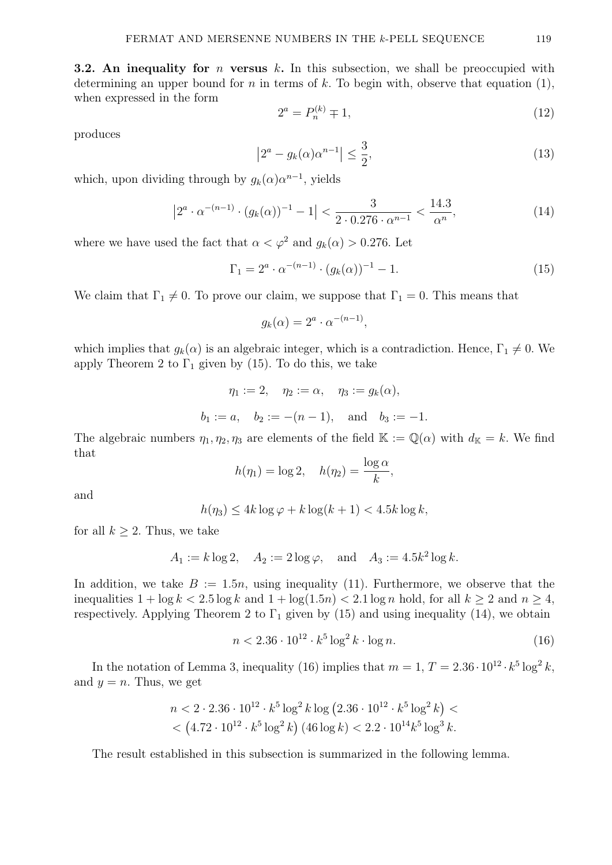**3.2.** An inequality for *n* versus k. In this subsection, we shall be preoccupied with determining an upper bound for n in terms of k. To begin with, observe that equation  $(1)$ , when expressed in the form

$$
2^a = P_n^{(k)} \mp 1,\tag{12}
$$

produces

$$
\left|2^{a} - g_{k}(\alpha)\alpha^{n-1}\right| \leq \frac{3}{2},\tag{13}
$$

which, upon dividing through by  $g_k(\alpha) \alpha^{n-1}$ , yields

$$
\left|2^{a} \cdot \alpha^{-(n-1)} \cdot (g_k(\alpha))^{-1} - 1\right| < \frac{3}{2 \cdot 0.276 \cdot \alpha^{n-1}} < \frac{14.3}{\alpha^n},\tag{14}
$$

where we have used the fact that  $\alpha < \varphi^2$  and  $q_k(\alpha) > 0.276$ . Let

$$
\Gamma_1 = 2^a \cdot \alpha^{-(n-1)} \cdot (g_k(\alpha))^{-1} - 1.
$$
\n(15)

We claim that  $\Gamma_1 \neq 0$ . To prove our claim, we suppose that  $\Gamma_1 = 0$ . This means that

$$
g_k(\alpha) = 2^a \cdot \alpha^{-(n-1)},
$$

which implies that  $g_k(\alpha)$  is an algebraic integer, which is a contradiction. Hence,  $\Gamma_1 \neq 0$ . We apply Theorem 2 to  $\Gamma_1$  given by (15). To do this, we take

$$
\eta_1 := 2, \quad \eta_2 := \alpha, \quad \eta_3 := g_k(\alpha),
$$
  
\n $b_1 := a, \quad b_2 := -(n-1), \quad \text{and} \quad b_3 := -1.$ 

The algebraic numbers  $\eta_1, \eta_2, \eta_3$  are elements of the field  $\mathbb{K} := \mathbb{Q}(\alpha)$  with  $d_{\mathbb{K}} = k$ . We find that

$$
h(\eta_1) = \log 2, \quad h(\eta_2) = \frac{\log \alpha}{k},
$$

and

$$
h(\eta_3) \le 4k \log \varphi + k \log(k+1) < 4.5k \log k,
$$

for all  $k \geq 2$ . Thus, we take

$$
A_1 := k \log 2
$$
,  $A_2 := 2 \log \varphi$ , and  $A_3 := 4.5k^2 \log k$ .

In addition, we take  $B := 1.5n$ , using inequality (11). Furthermore, we observe that the inequalities  $1 + \log k < 2.5 \log k$  and  $1 + \log(1.5n) < 2.1 \log n$  hold, for all  $k \ge 2$  and  $n \ge 4$ , respectively. Applying Theorem 2 to  $\Gamma_1$  given by (15) and using inequality (14), we obtain

$$
n < 2.36 \cdot 10^{12} \cdot k^5 \log^2 k \cdot \log n. \tag{16}
$$

In the notation of Lemma 3, inequality (16) implies that  $m = 1, T = 2.36 \cdot 10^{12} \cdot k^5 \log^2 k$ , and  $y = n$ . Thus, we get

$$
n < 2 \cdot 2.36 \cdot 10^{12} \cdot k^5 \log^2 k \log \left( 2.36 \cdot 10^{12} \cdot k^5 \log^2 k \right) < \left( 4.72 \cdot 10^{12} \cdot k^5 \log^2 k \right) (46 \log k) < 2.2 \cdot 10^{14} k^5 \log^3 k.
$$

The result established in this subsection is summarized in the following lemma.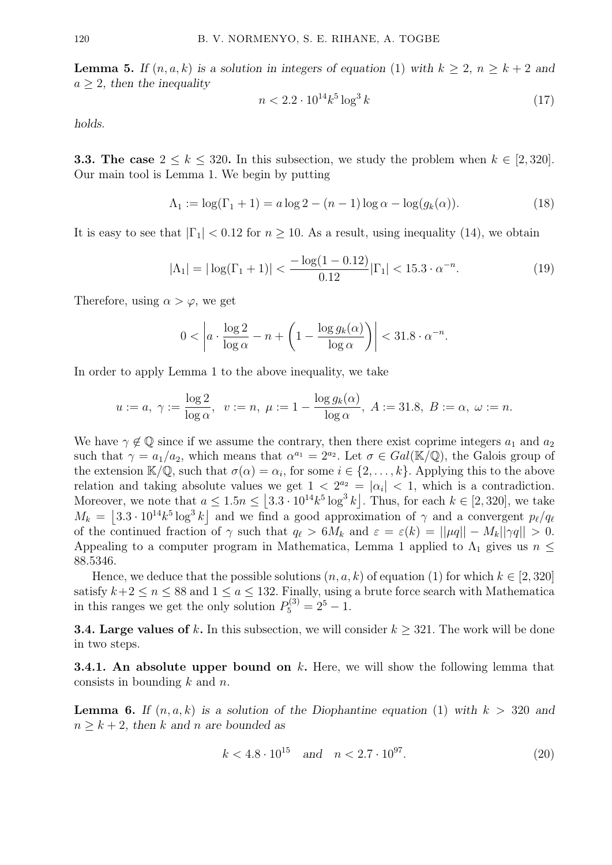**Lemma 5.** If  $(n, a, k)$  is a solution in integers of equation (1) with  $k \geq 2$ ,  $n \geq k+2$  and  $a \geq 2$ , then the inequality

$$
n < 2.2 \cdot 10^{14} k^5 \log^3 k \tag{17}
$$

holds.

**3.3. The case**  $2 \leq k \leq 320$ . In this subsection, we study the problem when  $k \in [2, 320]$ . Our main tool is Lemma 1. We begin by putting

$$
\Lambda_1 := \log(\Gamma_1 + 1) = a \log 2 - (n - 1) \log \alpha - \log(g_k(\alpha)).
$$
\n(18)

It is easy to see that  $|\Gamma_1| < 0.12$  for  $n \ge 10$ . As a result, using inequality (14), we obtain

$$
|\Lambda_1| = |\log(\Gamma_1 + 1)| < \frac{-\log(1 - 0.12)}{0.12} |\Gamma_1| < 15.3 \cdot \alpha^{-n}.
$$
 (19)

Therefore, using  $\alpha > \varphi$ , we get

$$
0 < \left| a \cdot \frac{\log 2}{\log \alpha} - n + \left( 1 - \frac{\log g_k(\alpha)}{\log \alpha} \right) \right| < 31.8 \cdot \alpha^{-n}.
$$

In order to apply Lemma 1 to the above inequality, we take

$$
u := a, \ \gamma := \frac{\log 2}{\log \alpha}, \ \ v := n, \ \mu := 1 - \frac{\log g_k(\alpha)}{\log \alpha}, \ A := 31.8, \ B := \alpha, \ \omega := n.
$$

We have  $\gamma \notin \mathbb{Q}$  since if we assume the contrary, then there exist coprime integers  $a_1$  and  $a_2$ such that  $\gamma = a_1/a_2$ , which means that  $\alpha^{a_1} = 2^{a_2}$ . Let  $\sigma \in Gal(\mathbb{K}/\mathbb{Q})$ , the Galois group of the extension  $\mathbb{K}/\mathbb{Q}$ , such that  $\sigma(\alpha) = \alpha_i$ , for some  $i \in \{2, \ldots, k\}$ . Applying this to the above relation and taking absolute values we get  $1 < 2^{a_2} = |\alpha_i| < 1$ , which is a contradiction. Moreover, we note that  $a \leq 1.5n \leq |3.3 \cdot 10^{14} k^5 \log^3 k|$ . Thus, for each  $k \in [2, 320]$ , we take  $M_k = |3.3 \cdot 10^{14} k^5 \log^3 k|$  and we find a good approximation of  $\gamma$  and a convergent  $p_\ell/q_\ell$ of the continued fraction of  $\gamma$  such that  $q_\ell > 6M_k$  and  $\varepsilon = \varepsilon(k) = ||\mu q|| - M_k||\gamma q|| > 0.$ Appealing to a computer program in Mathematica, Lemma 1 applied to  $\Lambda_1$  gives us  $n \leq$ 88.5346.

Hence, we deduce that the possible solutions  $(n, a, k)$  of equation (1) for which  $k \in [2, 320]$ satisfy  $k+2 \leq n \leq 88$  and  $1 \leq a \leq 132$ . Finally, using a brute force search with Mathematica in this ranges we get the only solution  $P_5^{(3)} = 2^5 - 1$ .

**3.4. Large values of k.** In this subsection, we will consider  $k \geq 321$ . The work will be done in two steps.

**3.4.1.** An absolute upper bound on  $k$ . Here, we will show the following lemma that consists in bounding  $k$  and  $n$ .

**Lemma 6.** If  $(n, a, k)$  is a solution of the Diophantine equation (1) with  $k > 320$  and  $n \geq k + 2$ , then k and n are bounded as

$$
k < 4.8 \cdot 10^{15} \quad \text{and} \quad n < 2.7 \cdot 10^{97}.\tag{20}
$$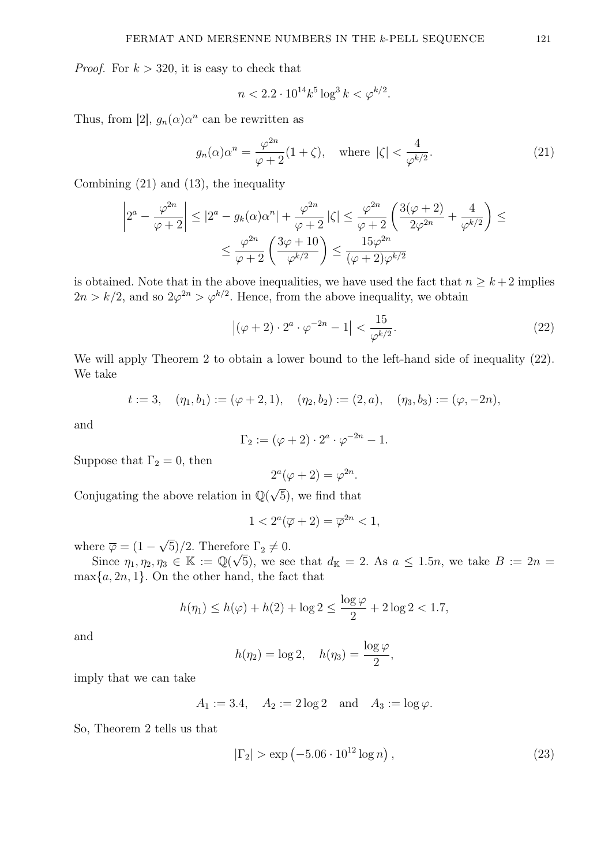*Proof.* For  $k > 320$ , it is easy to check that

$$
n < 2.2 \cdot 10^{14} k^5 \log^3 k < \varphi^{k/2}.
$$

Thus, from [2],  $g_n(\alpha)\alpha^n$  can be rewritten as

$$
g_n(\alpha)\alpha^n = \frac{\varphi^{2n}}{\varphi + 2}(1 + \zeta), \quad \text{where } |\zeta| < \frac{4}{\varphi^{k/2}}.\tag{21}
$$

Combining (21) and (13), the inequality

$$
\left|2^{a} - \frac{\varphi^{2n}}{\varphi + 2}\right| \leq \left|2^{a} - g_{k}(\alpha)\alpha^{n}\right| + \frac{\varphi^{2n}}{\varphi + 2}\left|\zeta\right| \leq \frac{\varphi^{2n}}{\varphi + 2}\left(\frac{3(\varphi + 2)}{2\varphi^{2n}} + \frac{4}{\varphi^{k/2}}\right) \leq
$$

$$
\leq \frac{\varphi^{2n}}{\varphi + 2}\left(\frac{3\varphi + 10}{\varphi^{k/2}}\right) \leq \frac{15\varphi^{2n}}{(\varphi + 2)\varphi^{k/2}}
$$

is obtained. Note that in the above inequalities, we have used the fact that  $n \geq k+2$  implies  $2n > k/2$ , and so  $2\varphi^{2n} > \varphi^{k/2}$ . Hence, from the above inequality, we obtain

$$
\left| (\varphi + 2) \cdot 2^a \cdot \varphi^{-2n} - 1 \right| < \frac{15}{\varphi^{k/2}}. \tag{22}
$$

We will apply Theorem 2 to obtain a lower bound to the left-hand side of inequality  $(22)$ . We take

$$
t := 3
$$
,  $(\eta_1, b_1) := (\varphi + 2, 1),$   $(\eta_2, b_2) := (2, a),$   $(\eta_3, b_3) := (\varphi, -2n),$ 

and

$$
\Gamma_2 := (\varphi + 2) \cdot 2^a \cdot \varphi^{-2n} - 1.
$$

Suppose that  $\Gamma_2 = 0$ , then

$$
2^{a}(\varphi + 2) = \varphi^{2n}.
$$

Conjugating the above relation in  $\mathbb{Q}(\sqrt{2})$ 5), we find that

$$
1 < 2^a(\overline{\varphi} + 2) = \overline{\varphi}^{2n} < 1,
$$

where  $\overline{\varphi} = (1 -$ √ 5)/2. Therefore  $\Gamma_2 \neq 0$ .

Since  $\eta_1, \eta_2, \eta_3 \in \mathbb{K} := \mathbb{Q}(\sqrt{5})$ , we see that  $d_{\mathbb{K}} = 2$ . As  $a \leq 1.5n$ , we take  $B := 2n =$  $\max\{a, 2n, 1\}$ . On the other hand, the fact that

$$
h(\eta_1) \le h(\varphi) + h(2) + \log 2 \le \frac{\log \varphi}{2} + 2\log 2 < 1.7,
$$

and

$$
h(\eta_2) = \log 2, \quad h(\eta_3) = \frac{\log \varphi}{2},
$$

imply that we can take

$$
A_1 := 3.4
$$
,  $A_2 := 2 \log 2$  and  $A_3 := \log \varphi$ .

So, Theorem 2 tells us that

$$
|\Gamma_2| > \exp(-5.06 \cdot 10^{12} \log n), \tag{23}
$$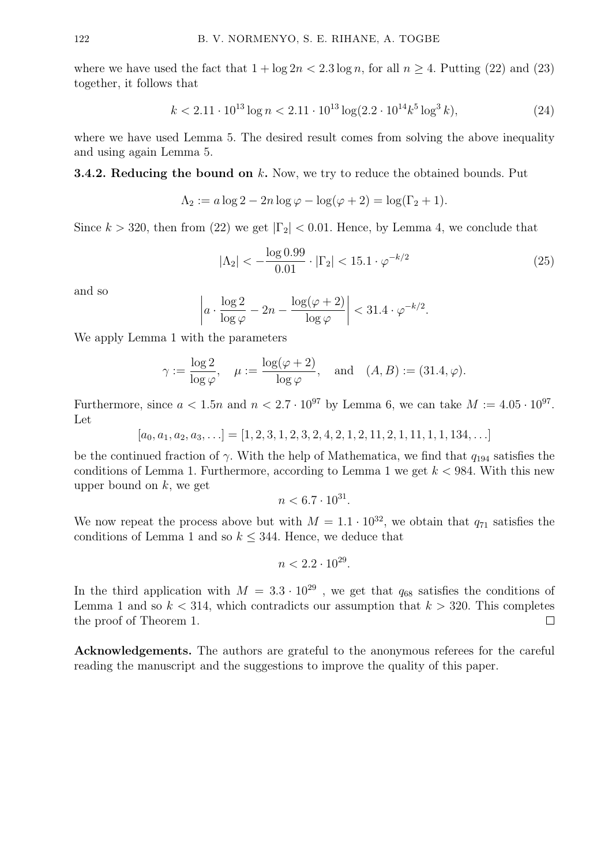where we have used the fact that  $1 + \log 2n < 2.3 \log n$ , for all  $n \ge 4$ . Putting (22) and (23) together, it follows that

$$
k < 2.11 \cdot 10^{13} \log n < 2.11 \cdot 10^{13} \log(2.2 \cdot 10^{14} k^5 \log^3 k),\tag{24}
$$

where we have used Lemma 5. The desired result comes from solving the above inequality and using again Lemma 5.

## **3.4.2. Reducing the bound on**  $k$ **.** Now, we try to reduce the obtained bounds. Put

$$
\Lambda_2 := a \log 2 - 2n \log \varphi - \log(\varphi + 2) = \log(\Gamma_2 + 1).
$$

Since  $k > 320$ , then from (22) we get  $|\Gamma_2| < 0.01$ . Hence, by Lemma 4, we conclude that

$$
|\Lambda_2| < -\frac{\log 0.99}{0.01} \cdot |\Gamma_2| < 15.1 \cdot \varphi^{-k/2} \tag{25}
$$

and so

$$
\left| a \cdot \frac{\log 2}{\log \varphi} - 2n - \frac{\log(\varphi + 2)}{\log \varphi} \right| < 31.4 \cdot \varphi^{-k/2}.
$$

We apply Lemma 1 with the parameters

$$
\gamma := \frac{\log 2}{\log \varphi}, \quad \mu := \frac{\log(\varphi + 2)}{\log \varphi}, \quad \text{and} \quad (A, B) := (31.4, \varphi).
$$

Furthermore, since  $a < 1.5n$  and  $n < 2.7 \cdot 10^{97}$  by Lemma 6, we can take  $M := 4.05 \cdot 10^{97}$ . Let

 $[a_0, a_1, a_2, a_3, \ldots] = [1, 2, 3, 1, 2, 3, 2, 4, 2, 1, 2, 11, 2, 1, 11, 1, 1, 134, \ldots]$ 

be the continued fraction of  $\gamma$ . With the help of Mathematica, we find that  $q_{194}$  satisfies the conditions of Lemma 1. Furthermore, according to Lemma 1 we get  $k < 984$ . With this new upper bound on  $k$ , we get

$$
n < 6.7 \cdot 10^{31}.
$$

We now repeat the process above but with  $M = 1.1 \cdot 10^{32}$ , we obtain that  $q_{71}$  satisfies the conditions of Lemma 1 and so  $k \leq 344$ . Hence, we deduce that

$$
n < 2.2 \cdot 10^{29}.
$$

In the third application with  $M = 3.3 \cdot 10^{29}$ , we get that  $q_{68}$  satisfies the conditions of Lemma 1 and so  $k < 314$ , which contradicts our assumption that  $k > 320$ . This completes the proof of Theorem 1.  $\Box$ 

Acknowledgements. The authors are grateful to the anonymous referees for the careful reading the manuscript and the suggestions to improve the quality of this paper.